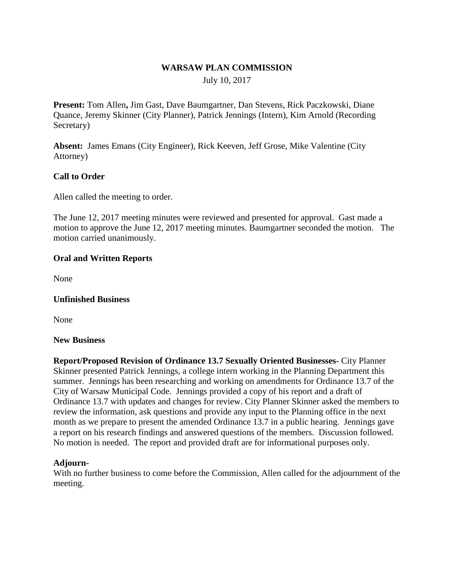# **WARSAW PLAN COMMISSION**

July 10, 2017

**Present:** Tom Allen**,** Jim Gast, Dave Baumgartner, Dan Stevens, Rick Paczkowski, Diane Quance, Jeremy Skinner (City Planner), Patrick Jennings (Intern), Kim Arnold (Recording Secretary)

**Absent:** James Emans (City Engineer), Rick Keeven, Jeff Grose, Mike Valentine (City Attorney)

# **Call to Order**

Allen called the meeting to order.

The June 12, 2017 meeting minutes were reviewed and presented for approval. Gast made a motion to approve the June 12, 2017 meeting minutes. Baumgartner seconded the motion. The motion carried unanimously.

### **Oral and Written Reports**

None

### **Unfinished Business**

None

### **New Business**

**Report/Proposed Revision of Ordinance 13.7 Sexually Oriented Businesses-** City Planner Skinner presented Patrick Jennings, a college intern working in the Planning Department this summer. Jennings has been researching and working on amendments for Ordinance 13.7 of the City of Warsaw Municipal Code. Jennings provided a copy of his report and a draft of Ordinance 13.7 with updates and changes for review. City Planner Skinner asked the members to review the information, ask questions and provide any input to the Planning office in the next month as we prepare to present the amended Ordinance 13.7 in a public hearing. Jennings gave a report on his research findings and answered questions of the members. Discussion followed. No motion is needed. The report and provided draft are for informational purposes only.

### **Adjourn-**

With no further business to come before the Commission, Allen called for the adjournment of the meeting.